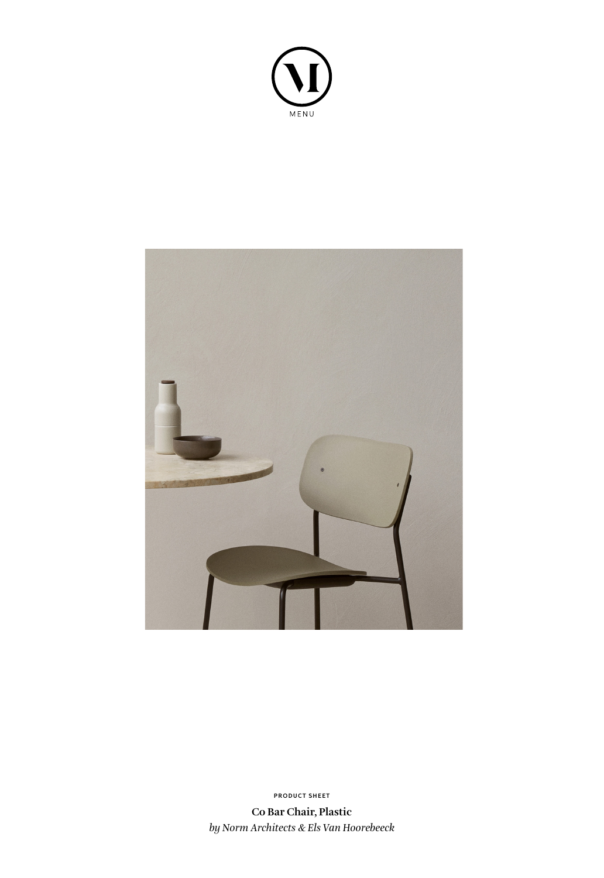



**PRODUCT SHEET**

**Co Bar Chair, Plastic** *by Norm Architects & Els Van Hoorebeeck*